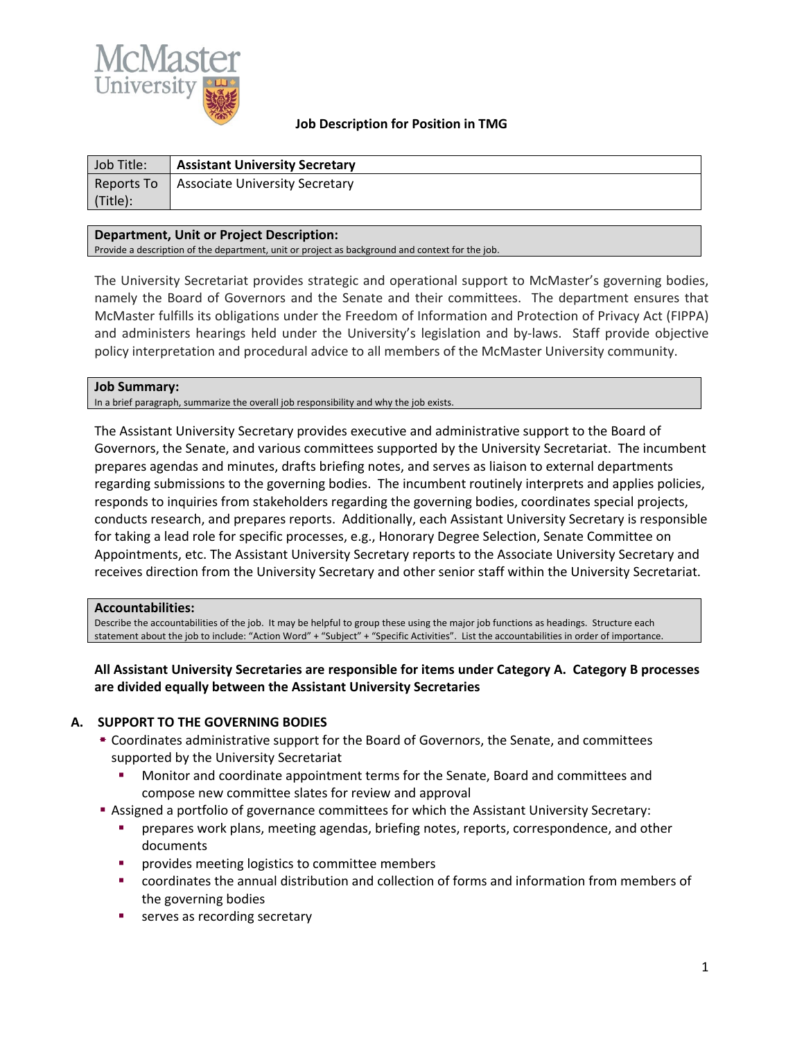

### **Job Description for Position in TMG**

| Job Title: | <b>Assistant University Secretary</b> |
|------------|---------------------------------------|
| Reports To | Associate University Secretary        |
| (Title):   |                                       |

### **Department, Unit or Project Description:**

Provide a description of the department, unit or project as background and context for the job.

The University Secretariat provides strategic and operational support to McMaster's governing bodies, namely the Board of Governors and the Senate and their committees. The department ensures that McMaster fulfills its obligations under the Freedom of Information and Protection of Privacy Act (FIPPA) and administers hearings held under the University's legislation and by-laws. Staff provide objective policy interpretation and procedural advice to all members of the McMaster University community.

#### **Job Summary:**

In a brief paragraph, summarize the overall job responsibility and why the job exists.

The Assistant University Secretary provides executive and administrative support to the Board of Governors, the Senate, and various committees supported by the University Secretariat. The incumbent prepares agendas and minutes, drafts briefing notes, and serves as liaison to external departments regarding submissions to the governing bodies. The incumbent routinely interprets and applies policies, responds to inquiries from stakeholders regarding the governing bodies, coordinates special projects, conducts research, and prepares reports. Additionally, each Assistant University Secretary is responsible for taking a lead role for specific processes, e.g., Honorary Degree Selection, Senate Committee on Appointments, etc. The Assistant University Secretary reports to the Associate University Secretary and receives direction from the University Secretary and other senior staff within the University Secretariat.

#### **Accountabilities:**

Describe the accountabilities of the job. It may be helpful to group these using the major job functions as headings. Structure each statement about the job to include: "Action Word" + "Subject" + "Specific Activities". List the accountabilities in order of importance.

### **All Assistant University Secretaries are responsible for items under Category A. Category B processes are divided equally between the Assistant University Secretaries**

### **A. SUPPORT TO THE GOVERNING BODIES**

- Coordinates administrative support for the Board of Governors, the Senate, and committees supported by the University Secretariat
	- Monitor and coordinate appointment terms for the Senate, Board and committees and compose new committee slates for review and approval
- Assigned a portfolio of governance committees for which the Assistant University Secretary:
	- prepares work plans, meeting agendas, briefing notes, reports, correspondence, and other documents
	- **PEDIE:** provides meeting logistics to committee members
	- coordinates the annual distribution and collection of forms and information from members of the governing bodies
	- serves as recording secretary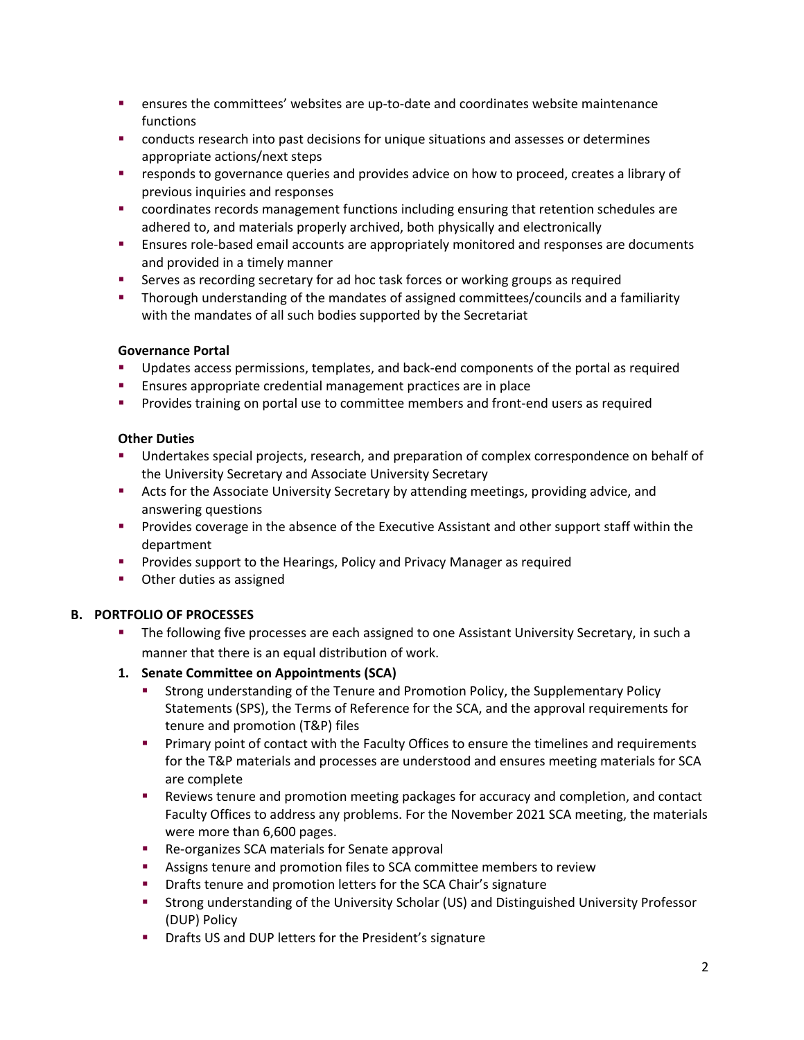- ensures the committees' websites are up-to-date and coordinates website maintenance functions
- conducts research into past decisions for unique situations and assesses or determines appropriate actions/next steps
- **Figure 2** responds to governance queries and provides advice on how to proceed, creates a library of previous inquiries and responses
- coordinates records management functions including ensuring that retention schedules are adhered to, and materials properly archived, both physically and electronically
- **Ensures role-based email accounts are appropriately monitored and responses are documents** and provided in a timely manner
- Serves as recording secretary for ad hoc task forces or working groups as required
- Thorough understanding of the mandates of assigned committees/councils and a familiarity with the mandates of all such bodies supported by the Secretariat

## **Governance Portal**

- Updates access permissions, templates, and back-end components of the portal as required
- **Ensures appropriate credential management practices are in place**
- **Provides training on portal use to committee members and front-end users as required**

## **Other Duties**

- Undertakes special projects, research, and preparation of complex correspondence on behalf of the University Secretary and Associate University Secretary
- **Acts for the Associate University Secretary by attending meetings, providing advice, and** answering questions
- **Provides coverage in the absence of the Executive Assistant and other support staff within the** department
- **Provides support to the Hearings, Policy and Privacy Manager as required**
- **•** Other duties as assigned

# **B. PORTFOLIO OF PROCESSES**

- **The following five processes are each assigned to one Assistant University Secretary, in such a** manner that there is an equal distribution of work.
- **1. Senate Committee on Appointments (SCA)**
	- Strong understanding of the Tenure and Promotion Policy, the Supplementary Policy Statements (SPS), the Terms of Reference for the SCA, and the approval requirements for tenure and promotion (T&P) files
	- **Primary point of contact with the Faculty Offices to ensure the timelines and requirements** for the T&P materials and processes are understood and ensures meeting materials for SCA are complete
	- Reviews tenure and promotion meeting packages for accuracy and completion, and contact Faculty Offices to address any problems. For the November 2021 SCA meeting, the materials were more than 6,600 pages.
	- **Re-organizes SCA materials for Senate approval**
	- Assigns tenure and promotion files to SCA committee members to review
	- **•** Drafts tenure and promotion letters for the SCA Chair's signature
	- Strong understanding of the University Scholar (US) and Distinguished University Professor (DUP) Policy
	- **•** Drafts US and DUP letters for the President's signature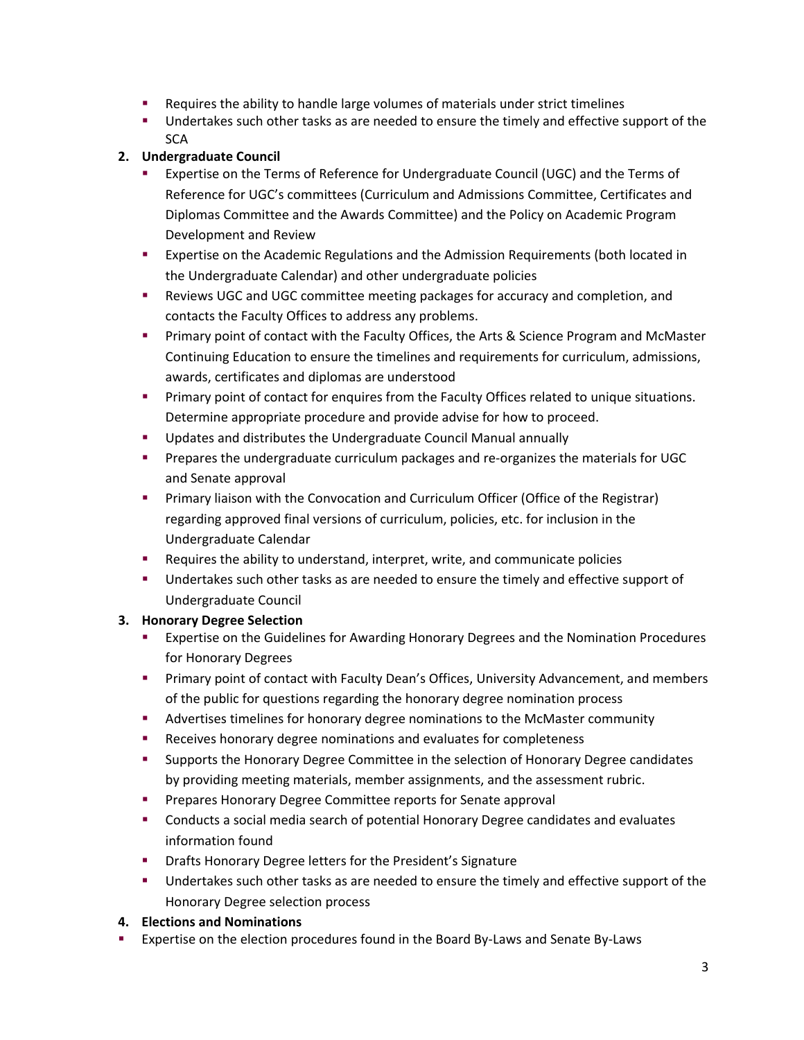- Requires the ability to handle large volumes of materials under strict timelines
- **Undertakes such other tasks as are needed to ensure the timely and effective support of the SCA**

## **2. Undergraduate Council**

- Expertise on the Terms of Reference for Undergraduate Council (UGC) and the Terms of Reference for UGC's committees (Curriculum and Admissions Committee, Certificates and Diplomas Committee and the Awards Committee) and the Policy on Academic Program Development and Review
- Expertise on the Academic Regulations and the Admission Requirements (both located in the Undergraduate Calendar) and other undergraduate policies
- **EXECT:** Reviews UGC and UGC committee meeting packages for accuracy and completion, and contacts the Faculty Offices to address any problems.
- **Primary point of contact with the Faculty Offices, the Arts & Science Program and McMaster** Continuing Education to ensure the timelines and requirements for curriculum, admissions, awards, certificates and diplomas are understood
- **Primary point of contact for enquires from the Faculty Offices related to unique situations.** Determine appropriate procedure and provide advise for how to proceed.
- **Updates and distributes the Undergraduate Council Manual annually**
- **Prepares the undergraduate curriculum packages and re-organizes the materials for UGC** and Senate approval
- **Primary liaison with the Convocation and Curriculum Officer (Office of the Registrar)** regarding approved final versions of curriculum, policies, etc. for inclusion in the Undergraduate Calendar
- **EXECUTE:** Requires the ability to understand, interpret, write, and communicate policies
- Undertakes such other tasks as are needed to ensure the timely and effective support of Undergraduate Council

# **3. Honorary Degree Selection**

- Expertise on the Guidelines for Awarding Honorary Degrees and the Nomination Procedures for Honorary Degrees
- **Primary point of contact with Faculty Dean's Offices, University Advancement, and members** of the public for questions regarding the honorary degree nomination process
- Advertises timelines for honorary degree nominations to the McMaster community
- **Receives honorary degree nominations and evaluates for completeness**
- Supports the Honorary Degree Committee in the selection of Honorary Degree candidates by providing meeting materials, member assignments, and the assessment rubric.
- **Prepares Honorary Degree Committee reports for Senate approval**
- Conducts a social media search of potential Honorary Degree candidates and evaluates information found
- **Drafts Honorary Degree letters for the President's Signature**
- **Undertakes such other tasks as are needed to ensure the timely and effective support of the** Honorary Degree selection process

### **4. Elections and Nominations**

Expertise on the election procedures found in the Board By-Laws and Senate By-Laws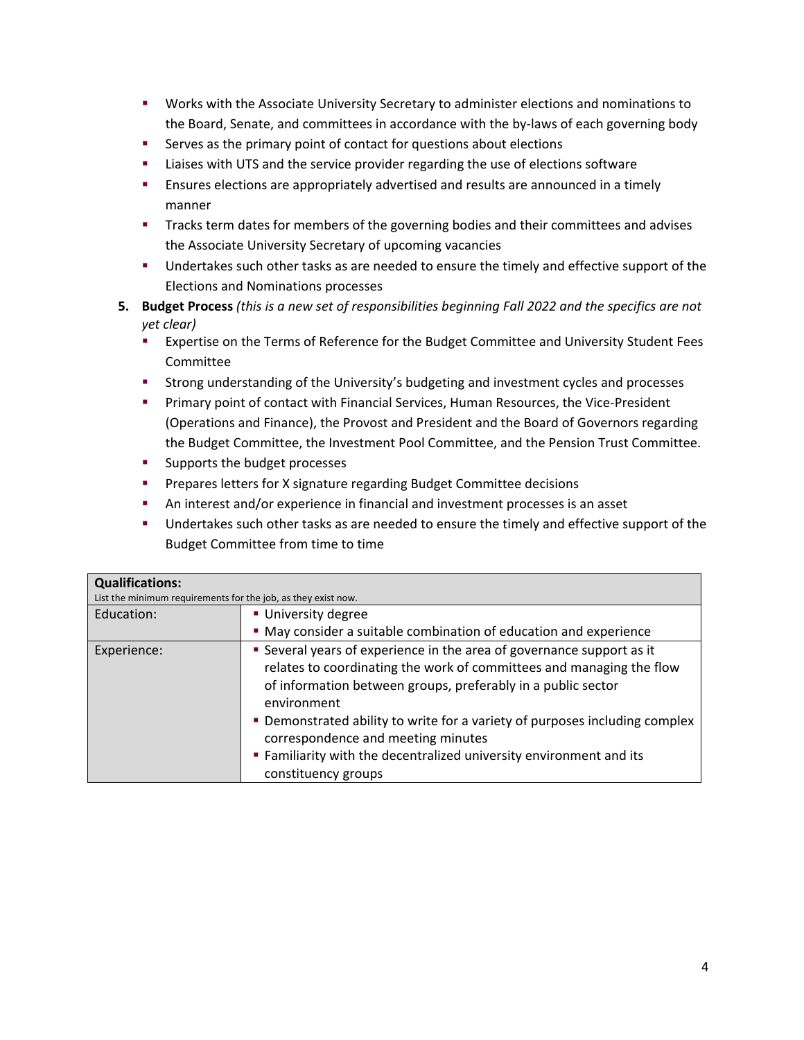- Works with the Associate University Secretary to administer elections and nominations to the Board, Senate, and committees in accordance with the by-laws of each governing body
- **EXECT** Serves as the primary point of contact for questions about elections
- **EXECT** Liaises with UTS and the service provider regarding the use of elections software
- Ensures elections are appropriately advertised and results are announced in a timely manner
- Tracks term dates for members of the governing bodies and their committees and advises the Associate University Secretary of upcoming vacancies
- **Undertakes such other tasks as are needed to ensure the timely and effective support of the** Elections and Nominations processes
- **5. Budget Process** *(this is a new set of responsibilities beginning Fall 2022 and the specifics are not yet clear)*
	- **EXPERT 2** Expertise on the Terms of Reference for the Budget Committee and University Student Fees Committee
	- **Strong understanding of the University's budgeting and investment cycles and processes**
	- **Primary point of contact with Financial Services, Human Resources, the Vice-President** (Operations and Finance), the Provost and President and the Board of Governors regarding the Budget Committee, the Investment Pool Committee, and the Pension Trust Committee.
	- **Supports the budget processes**
	- **Prepares letters for X signature regarding Budget Committee decisions**
	- An interest and/or experience in financial and investment processes is an asset
	- **Undertakes such other tasks as are needed to ensure the timely and effective support of the** Budget Committee from time to time

| <b>Qualifications:</b><br>List the minimum requirements for the job, as they exist now. |                                                                                                                                                                                                                              |  |  |  |
|-----------------------------------------------------------------------------------------|------------------------------------------------------------------------------------------------------------------------------------------------------------------------------------------------------------------------------|--|--|--|
| Education:                                                                              | <b>University degree</b>                                                                                                                                                                                                     |  |  |  |
|                                                                                         | • May consider a suitable combination of education and experience                                                                                                                                                            |  |  |  |
| Experience:                                                                             | • Several years of experience in the area of governance support as it<br>relates to coordinating the work of committees and managing the flow<br>of information between groups, preferably in a public sector<br>environment |  |  |  |
|                                                                                         | • Demonstrated ability to write for a variety of purposes including complex<br>correspondence and meeting minutes<br>" Familiarity with the decentralized university environment and its<br>constituency groups              |  |  |  |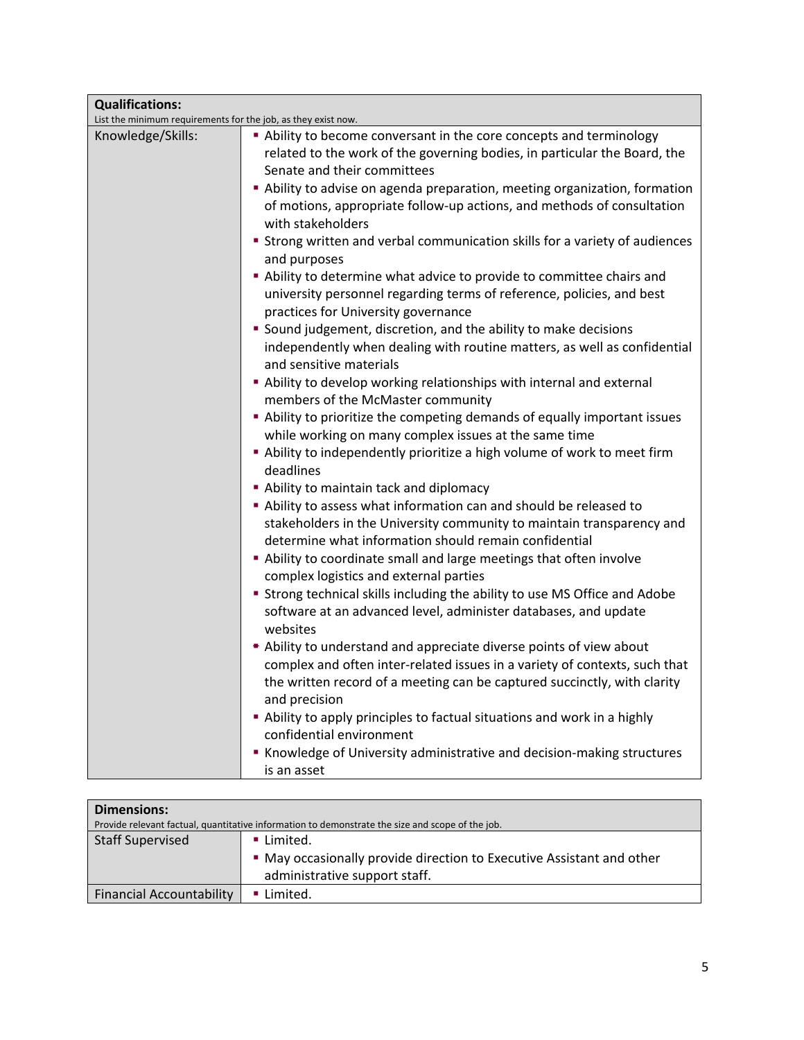| <b>Qualifications:</b>                                        |                                                                                                                                |  |  |  |
|---------------------------------------------------------------|--------------------------------------------------------------------------------------------------------------------------------|--|--|--|
| List the minimum requirements for the job, as they exist now. |                                                                                                                                |  |  |  |
| Knowledge/Skills:                                             | Ability to become conversant in the core concepts and terminology                                                              |  |  |  |
|                                                               | related to the work of the governing bodies, in particular the Board, the                                                      |  |  |  |
|                                                               | Senate and their committees                                                                                                    |  |  |  |
|                                                               | Ability to advise on agenda preparation, meeting organization, formation                                                       |  |  |  |
|                                                               | of motions, appropriate follow-up actions, and methods of consultation                                                         |  |  |  |
|                                                               | with stakeholders                                                                                                              |  |  |  |
|                                                               | <b>Strong written and verbal communication skills for a variety of audiences</b><br>and purposes                               |  |  |  |
|                                                               | Ability to determine what advice to provide to committee chairs and                                                            |  |  |  |
|                                                               | university personnel regarding terms of reference, policies, and best                                                          |  |  |  |
|                                                               | practices for University governance                                                                                            |  |  |  |
|                                                               | " Sound judgement, discretion, and the ability to make decisions                                                               |  |  |  |
|                                                               | independently when dealing with routine matters, as well as confidential                                                       |  |  |  |
|                                                               | and sensitive materials                                                                                                        |  |  |  |
|                                                               | Ability to develop working relationships with internal and external                                                            |  |  |  |
|                                                               | members of the McMaster community                                                                                              |  |  |  |
|                                                               | Ability to prioritize the competing demands of equally important issues                                                        |  |  |  |
|                                                               | while working on many complex issues at the same time                                                                          |  |  |  |
|                                                               | Ability to independently prioritize a high volume of work to meet firm<br>deadlines                                            |  |  |  |
|                                                               | Ability to maintain tack and diplomacy                                                                                         |  |  |  |
|                                                               | Ability to assess what information can and should be released to                                                               |  |  |  |
|                                                               | stakeholders in the University community to maintain transparency and<br>determine what information should remain confidential |  |  |  |
|                                                               | Ability to coordinate small and large meetings that often involve                                                              |  |  |  |
|                                                               | complex logistics and external parties                                                                                         |  |  |  |
|                                                               | " Strong technical skills including the ability to use MS Office and Adobe                                                     |  |  |  |
|                                                               | software at an advanced level, administer databases, and update                                                                |  |  |  |
|                                                               | websites                                                                                                                       |  |  |  |
|                                                               | Ability to understand and appreciate diverse points of view about                                                              |  |  |  |
|                                                               | complex and often inter-related issues in a variety of contexts, such that                                                     |  |  |  |
|                                                               | the written record of a meeting can be captured succinctly, with clarity<br>and precision                                      |  |  |  |
|                                                               | Ability to apply principles to factual situations and work in a highly                                                         |  |  |  |
|                                                               | confidential environment                                                                                                       |  |  |  |
|                                                               | Knowledge of University administrative and decision-making structures                                                          |  |  |  |
|                                                               | is an asset                                                                                                                    |  |  |  |

| <b>Dimensions:</b>                                                                               |                                                                       |  |  |  |  |  |
|--------------------------------------------------------------------------------------------------|-----------------------------------------------------------------------|--|--|--|--|--|
| Provide relevant factual, quantitative information to demonstrate the size and scope of the job. |                                                                       |  |  |  |  |  |
| Staff Supervised                                                                                 | Limited.                                                              |  |  |  |  |  |
|                                                                                                  | • May occasionally provide direction to Executive Assistant and other |  |  |  |  |  |
|                                                                                                  | administrative support staff.                                         |  |  |  |  |  |
| <b>Financial Accountability</b>                                                                  | ■ Limited.                                                            |  |  |  |  |  |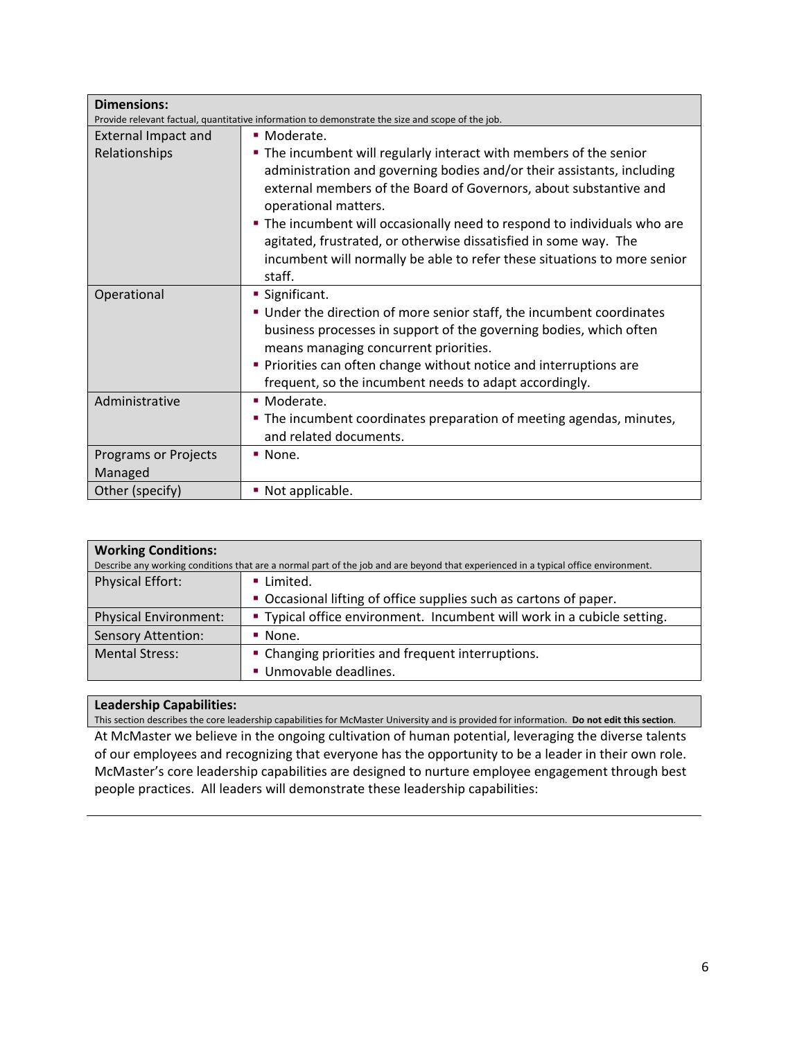| <b>Dimensions:</b>                                                                               |                                                                                                                                                                                                                                                                                                                                                                                                                                                                                 |  |  |  |  |  |
|--------------------------------------------------------------------------------------------------|---------------------------------------------------------------------------------------------------------------------------------------------------------------------------------------------------------------------------------------------------------------------------------------------------------------------------------------------------------------------------------------------------------------------------------------------------------------------------------|--|--|--|--|--|
| Provide relevant factual, quantitative information to demonstrate the size and scope of the job. |                                                                                                                                                                                                                                                                                                                                                                                                                                                                                 |  |  |  |  |  |
| <b>External Impact and</b>                                                                       | • Moderate.                                                                                                                                                                                                                                                                                                                                                                                                                                                                     |  |  |  |  |  |
| Relationships                                                                                    | • The incumbent will regularly interact with members of the senior<br>administration and governing bodies and/or their assistants, including<br>external members of the Board of Governors, about substantive and<br>operational matters.<br>. The incumbent will occasionally need to respond to individuals who are<br>agitated, frustrated, or otherwise dissatisfied in some way. The<br>incumbent will normally be able to refer these situations to more senior<br>staff. |  |  |  |  |  |
| Operational                                                                                      | ■ Significant.                                                                                                                                                                                                                                                                                                                                                                                                                                                                  |  |  |  |  |  |
|                                                                                                  | ■ Under the direction of more senior staff, the incumbent coordinates<br>business processes in support of the governing bodies, which often<br>means managing concurrent priorities.<br>• Priorities can often change without notice and interruptions are<br>frequent, so the incumbent needs to adapt accordingly.                                                                                                                                                            |  |  |  |  |  |
| Administrative                                                                                   | • Moderate.                                                                                                                                                                                                                                                                                                                                                                                                                                                                     |  |  |  |  |  |
|                                                                                                  | . The incumbent coordinates preparation of meeting agendas, minutes,<br>and related documents.                                                                                                                                                                                                                                                                                                                                                                                  |  |  |  |  |  |
| Programs or Projects<br>Managed                                                                  | $\blacksquare$ None.                                                                                                                                                                                                                                                                                                                                                                                                                                                            |  |  |  |  |  |
| Other (specify)<br>• Not applicable.                                                             |                                                                                                                                                                                                                                                                                                                                                                                                                                                                                 |  |  |  |  |  |

| <b>Working Conditions:</b>                                                                                                         |                                                                         |  |  |  |  |
|------------------------------------------------------------------------------------------------------------------------------------|-------------------------------------------------------------------------|--|--|--|--|
| Describe any working conditions that are a normal part of the job and are beyond that experienced in a typical office environment. |                                                                         |  |  |  |  |
| <b>Physical Effort:</b>                                                                                                            | Limited.                                                                |  |  |  |  |
|                                                                                                                                    | • Occasional lifting of office supplies such as cartons of paper.       |  |  |  |  |
| <b>Physical Environment:</b>                                                                                                       | " Typical office environment. Incumbent will work in a cubicle setting. |  |  |  |  |
| <b>Sensory Attention:</b>                                                                                                          | $\blacksquare$ None.                                                    |  |  |  |  |
| <b>Mental Stress:</b><br>• Changing priorities and frequent interruptions.                                                         |                                                                         |  |  |  |  |
|                                                                                                                                    | Unmovable deadlines.                                                    |  |  |  |  |

### **Leadership Capabilities:**

This section describes the core leadership capabilities for McMaster University and is provided for information. **Do not edit this section**. At McMaster we believe in the ongoing cultivation of human potential, leveraging the diverse talents of our employees and recognizing that everyone has the opportunity to be a leader in their own role. McMaster's core leadership capabilities are designed to nurture employee engagement through best people practices. All leaders will demonstrate these leadership capabilities: